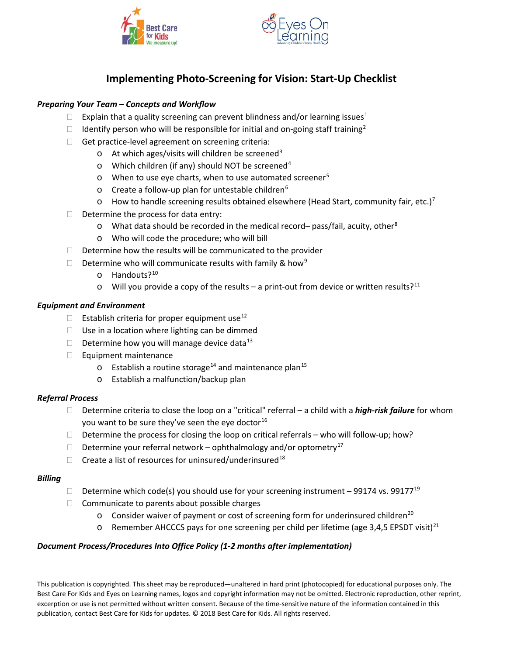



# **Implementing Photo-Screening for Vision: Start-Up Checklist**

## *Preparing Your Team – Concepts and Workflow*

- Explain that a quality screening can prevent blindness and/or learning issues<sup>[1](#page-1-0)</sup>
- Identify person who will be responsible for initial and on-going staff training<sup>[2](#page-1-1)</sup>
- $\Box$  Get practice-level agreement on screening criteria:
	- $\circ$  At which ages/visits will children be screened<sup>[3](#page-1-2)</sup>
	- o Which children (if any) should NOT be screened<sup>[4](#page-1-3)</sup>
	- $\circ$  When to use eye charts, when to use automated screener<sup>[5](#page-1-4)</sup>
	- o Create a follow-up plan for untestable children<sup>[6](#page-1-5)</sup>
	- $\circ$  How to handle screening results obtained elsewhere (Head Start, community fair, etc.)<sup>[7](#page-1-6)</sup>
- $\Box$  Determine the process for data entry:
	- $\circ$  What data should be recorded in the medical record– pass/fail, acuity, other<sup>[8](#page-1-7)</sup>
	- o Who will code the procedure; who will bill
- $\Box$  Determine how the results will be communicated to the provider
- Determine who will communicate results with family & how<sup>[9](#page-1-8)</sup>
	- o Handouts?[10](#page-1-9)
	- $\circ$  Will you provide a copy of the results a print-out from device or written results?<sup>[11](#page-1-10)</sup>

### *Equipment and Environment*

- $\Box$  Establish criteria for proper equipment use<sup>[12](#page-1-11)</sup>
- $\Box$  Use in a location where lighting can be dimmed
- Determine how you will manage device data<sup>[13](#page-1-12)</sup>
- $\Box$  Equipment maintenance
	- $\circ$  Establish a routine storage<sup>[14](#page-1-13)</sup> and maintenance plan<sup>[15](#page-1-14)</sup>
	- o Establish a malfunction/backup plan

### *Referral Process*

- Determine criteria to close the loop on a "critical" referral a child with a *high-risk failure* for whom you want to be sure they've seen the eye doctor $^{16}$  $^{16}$  $^{16}$
- Determine the process for closing the loop on critical referrals who will follow-up; how?
- Determine your referral network ophthalmology and/or optometry<sup>[17](#page-1-16)</sup>
- $\Box$  Create a list of resources for uninsured/underinsured<sup>[18](#page-1-17)</sup>

### *Billing*

- Determine which code(s) you should use for your screening instrument 99174 vs. 99177<sup>[19](#page-1-18)</sup>
- $\Box$  Communicate to parents about possible charges
	- $\circ$  Consider waiver of payment or cost of screening form for underinsured children<sup>[20](#page-1-19)</sup>
	- $\circ$  Remember AHCCCS pays for one screening per child per lifetime (age 3,4,5 EPSDT visit)<sup>21</sup>

### *Document Process/Procedures Into Office Policy (1-2 months after implementation)*

This publication is copyrighted. This sheet may be reproduced—unaltered in hard print (photocopied) for educational purposes only. The Best Care For Kids and Eyes on Learning names, logos and copyright information may not be omitted. Electronic reproduction, other reprint, excerption or use is not permitted without written consent. Because of the time-sensitive nature of the information contained in this publication, contact Best Care for Kids for updates. © 2018 Best Care for Kids. All rights reserved.